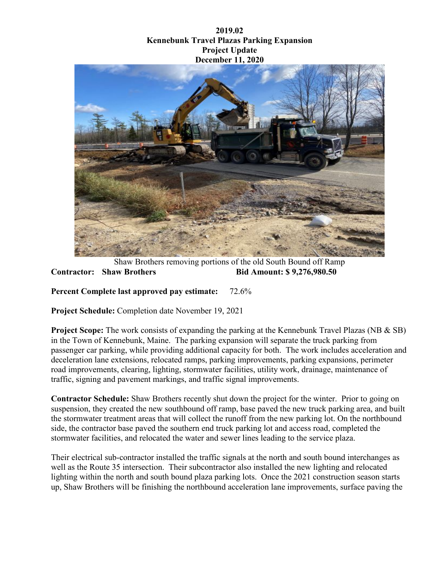## **2019.02 Kennebunk Travel Plazas Parking Expansion Project Update December 11, 2020**



Shaw Brothers removing portions of the old South Bound off Ramp **Contractor: Shaw Brothers Bid Amount: \$ 9,276,980.50**

**Percent Complete last approved pay estimate:** 72.6%

**Project Schedule:** Completion date November 19, 2021

**Project Scope:** The work consists of expanding the parking at the Kennebunk Travel Plazas (NB & SB) in the Town of Kennebunk, Maine. The parking expansion will separate the truck parking from passenger car parking, while providing additional capacity for both. The work includes acceleration and deceleration lane extensions, relocated ramps, parking improvements, parking expansions, perimeter road improvements, clearing, lighting, stormwater facilities, utility work, drainage, maintenance of traffic, signing and pavement markings, and traffic signal improvements.

**Contractor Schedule:** Shaw Brothers recently shut down the project for the winter. Prior to going on suspension, they created the new southbound off ramp, base paved the new truck parking area, and built the stormwater treatment areas that will collect the runoff from the new parking lot. On the northbound side, the contractor base paved the southern end truck parking lot and access road, completed the stormwater facilities, and relocated the water and sewer lines leading to the service plaza.

Their electrical sub-contractor installed the traffic signals at the north and south bound interchanges as well as the Route 35 intersection. Their subcontractor also installed the new lighting and relocated lighting within the north and south bound plaza parking lots. Once the 2021 construction season starts up, Shaw Brothers will be finishing the northbound acceleration lane improvements, surface paving the